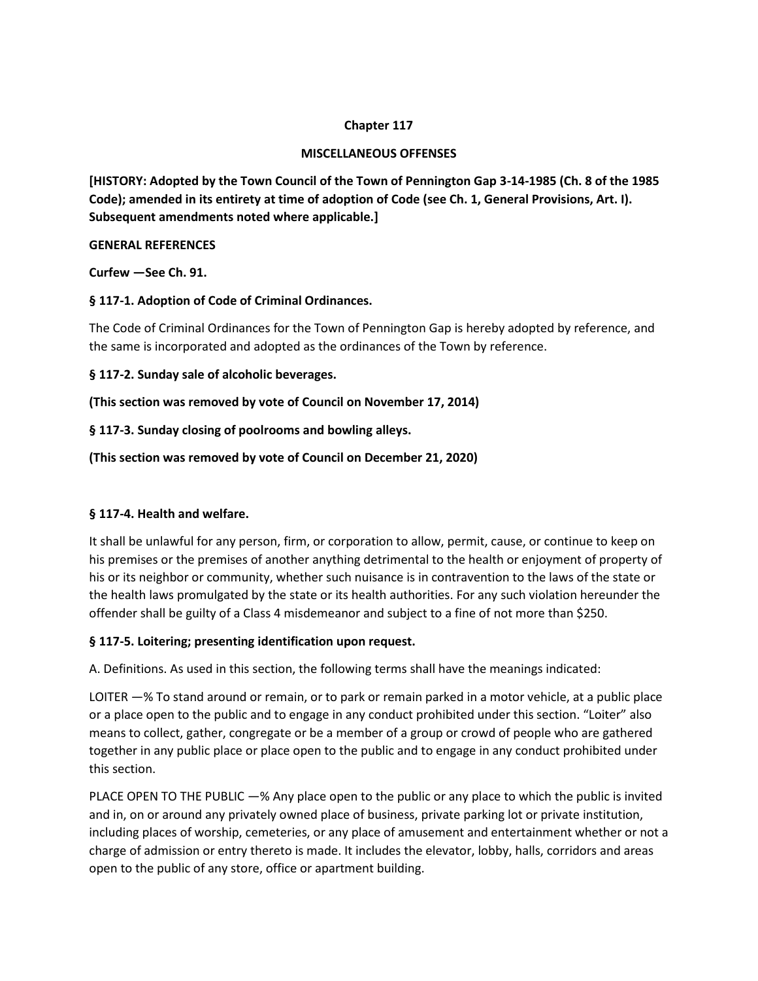#### **Chapter 117**

#### **MISCELLANEOUS OFFENSES**

**[HISTORY: Adopted by the Town Council of the Town of Pennington Gap 3-14-1985 (Ch. 8 of the 1985 Code); amended in its entirety at time of adoption of Code (see Ch. 1, General Provisions, Art. I). Subsequent amendments noted where applicable.]** 

#### **GENERAL REFERENCES**

**Curfew —See Ch. 91.** 

# **§ 117-1. Adoption of Code of Criminal Ordinances.**

The Code of Criminal Ordinances for the Town of Pennington Gap is hereby adopted by reference, and the same is incorporated and adopted as the ordinances of the Town by reference.

#### **§ 117-2. Sunday sale of alcoholic beverages.**

**(This section was removed by vote of Council on November 17, 2014)** 

**§ 117-3. Sunday closing of poolrooms and bowling alleys.** 

#### **(This section was removed by vote of Council on December 21, 2020)**

# **§ 117-4. Health and welfare.**

It shall be unlawful for any person, firm, or corporation to allow, permit, cause, or continue to keep on his premises or the premises of another anything detrimental to the health or enjoyment of property of his or its neighbor or community, whether such nuisance is in contravention to the laws of the state or the health laws promulgated by the state or its health authorities. For any such violation hereunder the offender shall be guilty of a Class 4 misdemeanor and subject to a fine of not more than \$250.

# **§ 117-5. Loitering; presenting identification upon request.**

A. Definitions. As used in this section, the following terms shall have the meanings indicated:

LOITER —% To stand around or remain, or to park or remain parked in a motor vehicle, at a public place or a place open to the public and to engage in any conduct prohibited under this section. "Loiter" also means to collect, gather, congregate or be a member of a group or crowd of people who are gathered together in any public place or place open to the public and to engage in any conduct prohibited under this section.

PLACE OPEN TO THE PUBLIC —% Any place open to the public or any place to which the public is invited and in, on or around any privately owned place of business, private parking lot or private institution, including places of worship, cemeteries, or any place of amusement and entertainment whether or not a charge of admission or entry thereto is made. It includes the elevator, lobby, halls, corridors and areas open to the public of any store, office or apartment building.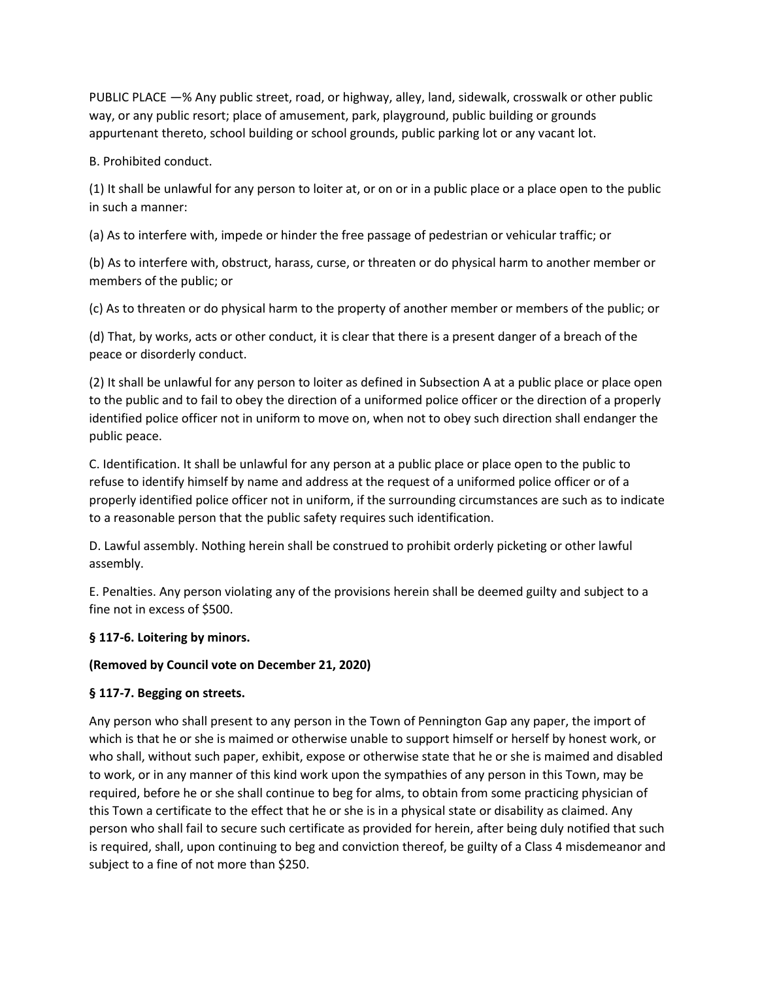PUBLIC PLACE —% Any public street, road, or highway, alley, land, sidewalk, crosswalk or other public way, or any public resort; place of amusement, park, playground, public building or grounds appurtenant thereto, school building or school grounds, public parking lot or any vacant lot.

B. Prohibited conduct.

(1) It shall be unlawful for any person to loiter at, or on or in a public place or a place open to the public in such a manner:

(a) As to interfere with, impede or hinder the free passage of pedestrian or vehicular traffic; or

(b) As to interfere with, obstruct, harass, curse, or threaten or do physical harm to another member or members of the public; or

(c) As to threaten or do physical harm to the property of another member or members of the public; or

(d) That, by works, acts or other conduct, it is clear that there is a present danger of a breach of the peace or disorderly conduct.

(2) It shall be unlawful for any person to loiter as defined in Subsection A at a public place or place open to the public and to fail to obey the direction of a uniformed police officer or the direction of a properly identified police officer not in uniform to move on, when not to obey such direction shall endanger the public peace.

C. Identification. It shall be unlawful for any person at a public place or place open to the public to refuse to identify himself by name and address at the request of a uniformed police officer or of a properly identified police officer not in uniform, if the surrounding circumstances are such as to indicate to a reasonable person that the public safety requires such identification.

D. Lawful assembly. Nothing herein shall be construed to prohibit orderly picketing or other lawful assembly.

E. Penalties. Any person violating any of the provisions herein shall be deemed guilty and subject to a fine not in excess of \$500.

# **§ 117-6. Loitering by minors.**

# **(Removed by Council vote on December 21, 2020)**

# **§ 117-7. Begging on streets.**

Any person who shall present to any person in the Town of Pennington Gap any paper, the import of which is that he or she is maimed or otherwise unable to support himself or herself by honest work, or who shall, without such paper, exhibit, expose or otherwise state that he or she is maimed and disabled to work, or in any manner of this kind work upon the sympathies of any person in this Town, may be required, before he or she shall continue to beg for alms, to obtain from some practicing physician of this Town a certificate to the effect that he or she is in a physical state or disability as claimed. Any person who shall fail to secure such certificate as provided for herein, after being duly notified that such is required, shall, upon continuing to beg and conviction thereof, be guilty of a Class 4 misdemeanor and subject to a fine of not more than \$250.